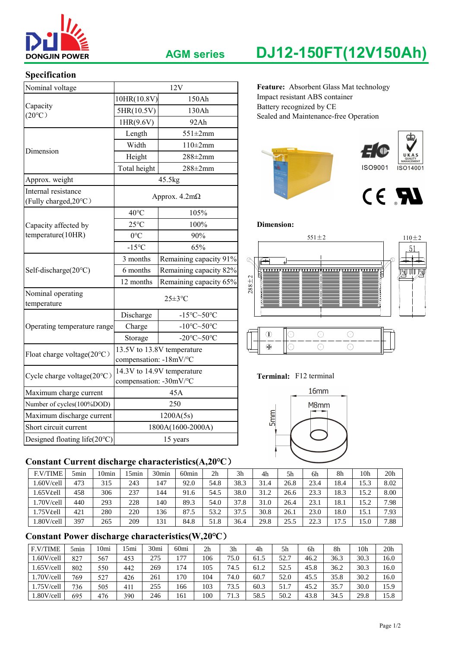

### **Specification**

| <b>DONGJIN POWER</b>                         |                        | <b>AGM series</b>                             | DJ12-150FT(12V150Ah)                                              |  |  |  |  |  |  |
|----------------------------------------------|------------------------|-----------------------------------------------|-------------------------------------------------------------------|--|--|--|--|--|--|
| Specification                                |                        |                                               |                                                                   |  |  |  |  |  |  |
| Nominal voltage                              |                        | 12V                                           | Feature: Absorbent Glass Mat technology                           |  |  |  |  |  |  |
|                                              | 10HR(10.8V)            | 150Ah                                         | Impact resistant ABS container                                    |  |  |  |  |  |  |
| Capacity<br>$(20^{\circ}C)$                  | 5HR(10.5V)             | 130Ah                                         | Battery recognized by CE<br>Sealed and Maintenance-free Operation |  |  |  |  |  |  |
|                                              | 1HR(9.6V)              | 92Ah                                          |                                                                   |  |  |  |  |  |  |
|                                              | Length                 | $551 \pm 2mm$                                 |                                                                   |  |  |  |  |  |  |
| Dimension                                    | Width                  | $110\pm2$ mm                                  |                                                                   |  |  |  |  |  |  |
|                                              | Height                 | $288 \pm 2$ mm                                |                                                                   |  |  |  |  |  |  |
|                                              | Total height           | $288 \pm 2$ mm                                | <b>ISO9001</b><br>ISO14001                                        |  |  |  |  |  |  |
| Approx. weight                               |                        | 45.5kg                                        |                                                                   |  |  |  |  |  |  |
| Internal resistance<br>(Fully charged, 20°C) |                        | Approx. $4.2m\Omega$                          | CE RI                                                             |  |  |  |  |  |  |
|                                              | $40^{\circ}$ C         | 105%                                          |                                                                   |  |  |  |  |  |  |
| Capacity affected by                         | $25^{\circ}$ C         | 100%                                          | <b>Dimension:</b>                                                 |  |  |  |  |  |  |
| temperature(10HR)                            | $0^{\circ}C$           | 90%                                           | $551 \pm 2$<br>$110 \pm 2$                                        |  |  |  |  |  |  |
|                                              | $-15^{\circ}$ C        | 65%                                           | 51                                                                |  |  |  |  |  |  |
|                                              | 3 months               | Remaining capacity 91%                        | Q<br>Æ                                                            |  |  |  |  |  |  |
| Self-discharge(20°C)                         | 6 months               | Remaining capacity 82%                        | kulla<br>K                                                        |  |  |  |  |  |  |
|                                              | 12 months              | Remaining capacity 65%                        | $288 + 2$                                                         |  |  |  |  |  |  |
| Nominal operating<br>temperature             |                        | $25 \pm 3$ °C                                 |                                                                   |  |  |  |  |  |  |
|                                              | Discharge              | $-15^{\circ}$ C $\sim$ 50 $^{\circ}$ C        |                                                                   |  |  |  |  |  |  |
| Operating temperature range                  | Charge                 | -10 $\textdegree$ C $\sim$ 50 $\textdegree$ C |                                                                   |  |  |  |  |  |  |
|                                              | Storage                | -20 $\textdegree$ C $\sim$ 50 $\textdegree$ C | $\bigcirc$<br>$\circledD$<br>$\bigcirc$<br>$\odot$                |  |  |  |  |  |  |
| Float charge voltage(20°C)                   | compensation: -18mV/°C | 13.5V to 13.8V temperature                    | $\bigcirc$<br>$\oplus$<br>$\bigcirc$<br>$\odot$                   |  |  |  |  |  |  |
| Cycle charge voltage(20°C)                   | compensation: -30mV/°C | 14.3V to 14.9V temperature                    | Terminal: F12 terminal                                            |  |  |  |  |  |  |
| Maximum charge current                       |                        | 45A                                           | 16 <sub>mm</sub>                                                  |  |  |  |  |  |  |
| Number of cycles(100%DOD)                    |                        | 250                                           | M8mm                                                              |  |  |  |  |  |  |
| Maximum discharge current                    |                        | 1200A(5s)                                     | 5mm                                                               |  |  |  |  |  |  |
| Short circuit current                        |                        | 1800A(1600-2000A)                             |                                                                   |  |  |  |  |  |  |
| Designed floating life(20°C)                 |                        | 15 years                                      |                                                                   |  |  |  |  |  |  |

## **Constant Current discharge characteristics(A,20℃**)

| <b>F.V/TIME</b> | 5min | 10 <sub>min</sub> | 5min | 30 <sub>min</sub> | 60 <sub>min</sub> | 2 <sub>h</sub> | 3 <sub>h</sub> | 4h   | 5h   | 6h   | 8h   | 10h  | 20 <sub>h</sub> |
|-----------------|------|-------------------|------|-------------------|-------------------|----------------|----------------|------|------|------|------|------|-----------------|
| 1.60V/cell      | 473  | 315               | 243  | 147               | 92.0              | 54.8           | 38.3           | 31.4 | 26.8 | 23.4 | 18.4 | 15.3 | 8.02            |
| 1.65Vℓ          | 458  | 306               | 237  | 144               | 91.6              | 54.5           | 38.0           | 31.2 | 26.6 | 23.3 | 18.3 | 15.2 | 8.00            |
| 1.70V/cell      | 440  | 293               | 228  | 140               | 89.3              | 54.0           | 37.8           | 31.0 | 26.4 | 23.1 | 18.1 | 15.2 | 7.98            |
| 1.75V/cell      | 421  | 280               | 220  | 136               | 87.5              | 53.2           | 37.5           | 30.8 | 26.1 | 23.0 | 18.0 | 15.1 | 7.93            |
| 1.80V/cell      | 397  | 265               | 209  | 131               | 84.8              | 51.8           | 36.4           | 29.8 | 25.5 | 22.3 | 7.   | 15.0 | 7.88            |

# **Constant Power discharge characteristics(W,20℃**)

| <b>F.V/TIME</b> | 5 <sub>min</sub> | 10mi | .5mi | 30 <sub>mi</sub> | 60 <sub>mi</sub> | 2 <sub>h</sub> | 3 <sub>h</sub> | 4h   | 5h                   | 6h   | 8h   | 10 <sub>h</sub> | 20 <sub>h</sub> |
|-----------------|------------------|------|------|------------------|------------------|----------------|----------------|------|----------------------|------|------|-----------------|-----------------|
| .60V/cell       | 827              | 567  | 453  | 275              | 177              | 106            | 75.0           | 61.5 | 52.7                 | 46.2 | 36.3 | 30.3            | 16.0            |
| 1.65V/cell      | 802              | 550  | 442  | 269              | 174              | 105            | 74.5           | 61.2 | 52.5                 | 45.8 | 36.2 | 30.3            | 16.0            |
| .70V/cell       | 769              | 527  | 426  | 261              | 170              | 104            | 74.0           | 60.7 | 52.0                 | 45.5 | 35.8 | 30.2            | 16.0            |
| 1.75V/cell      | 736              | 505  | 411  | 255              | 166              | 103            | 73.5           | 60.3 | $\mathbf{r}$<br>51.7 | 45.2 | 35.7 | 30.0            | 15.9            |
| .80V/cell       | 695              | 476  | 390  | 246              | 161              | 100            | 71.3           | 58.5 | 50.2                 | 43.8 | 34.5 | 29.8            | 15.8            |

# **AGM series DJ12-150FT(12V150Ah)**